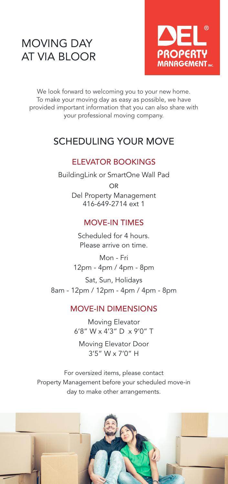# MOVING DAY AT VIA BLOOR



We look forward to welcoming you to your new home. To make your moving day as easy as possible, we have provided important information that you can also share with your professional moving company.

# SCHEDULING YOUR MOVE

### ELEVATOR BOOKINGS

BuildingLink or SmartOne Wall Pad OR Del Property Management 416-649-2714 ext 1

#### MOVE-IN TIMES

Scheduled for 4 hours. Please arrive on time.

Mon - Fri 12pm - 4pm / 4pm - 8pm

Sat, Sun, Holidays 8am - 12pm / 12pm - 4pm / 4pm - 8pm

#### MOVE-IN DIMENSIONS

Moving Elevator 6'8" W x 4'3" D x 9'0" T

Moving Elevator Door 3'5" W x 7'0" H

For oversized items, please contact Property Management before your scheduled move-in day to make other arrangements.